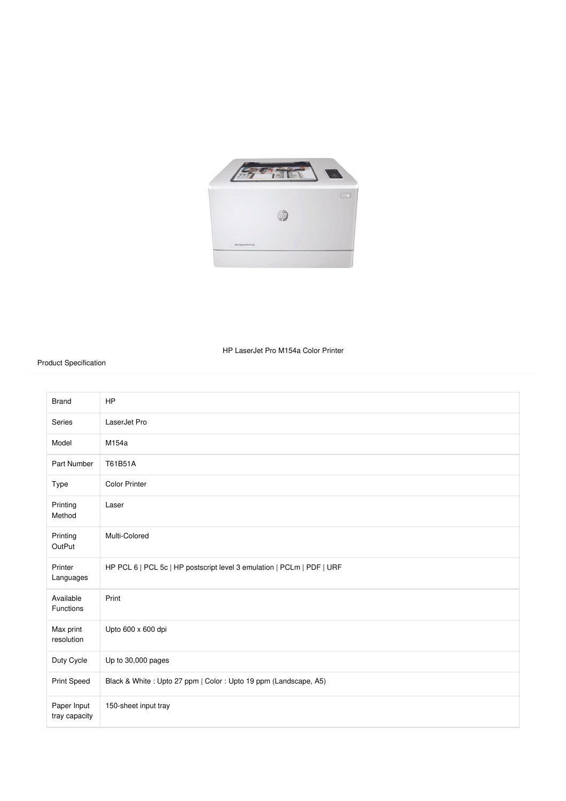

## HP LaserJet Pro M154a Color Printer

## Product Specification

| <b>Brand</b>                 | <b>HP</b>                                                              |
|------------------------------|------------------------------------------------------------------------|
| Series                       | LaserJet Pro                                                           |
| Model                        | M154a                                                                  |
| Part Number                  | T61B51A                                                                |
| Type                         | <b>Color Printer</b>                                                   |
| Printing<br>Method           | Laser                                                                  |
| Printing<br>OutPut           | Multi-Colored                                                          |
| Printer<br>Languages         | HP PCL 6   PCL 5c   HP postscript level 3 emulation   PCLm   PDF   URF |
| Available<br>Functions       | Print                                                                  |
| Max print<br>resolution      | Upto 600 x 600 dpi                                                     |
| Duty Cycle                   | Up to 30,000 pages                                                     |
| Print Speed                  | Black & White: Upto 27 ppm   Color: Upto 19 ppm (Landscape, A5)        |
| Paper Input<br>tray capacity | 150-sheet input tray                                                   |